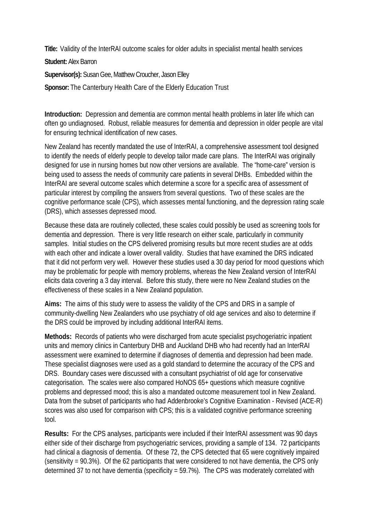**Title:** Validity of the InterRAI outcome scales for older adults in specialist mental health services

**Student:** Alex Barron

**Supervisor(s):** Susan Gee, Matthew Croucher, Jason Elley

**Sponsor:** The Canterbury Health Care of the Elderly Education Trust

**Introduction:** Depression and dementia are common mental health problems in later life which can often go undiagnosed. Robust, reliable measures for dementia and depression in older people are vital for ensuring technical identification of new cases.

New Zealand has recently mandated the use of InterRAI, a comprehensive assessment tool designed to identify the needs of elderly people to develop tailor made care plans. The InterRAI was originally designed for use in nursing homes but now other versions are available. The "home-care" version is being used to assess the needs of community care patients in several DHBs. Embedded within the InterRAI are several outcome scales which determine a score for a specific area of assessment of particular interest by compiling the answers from several questions. Two of these scales are the cognitive performance scale (CPS), which assesses mental functioning, and the depression rating scale (DRS), which assesses depressed mood.

Because these data are routinely collected, these scales could possibly be used as screening tools for dementia and depression. There is very little research on either scale, particularly in community samples. Initial studies on the CPS delivered promising results but more recent studies are at odds with each other and indicate a lower overall validity. Studies that have examined the DRS indicated that it did not perform very well. However these studies used a 30 day period for mood questions which may be problematic for people with memory problems, whereas the New Zealand version of InterRAI elicits data covering a 3 day interval. Before this study, there were no New Zealand studies on the effectiveness of these scales in a New Zealand population.

**Aims:** The aims of this study were to assess the validity of the CPS and DRS in a sample of community-dwelling New Zealanders who use psychiatry of old age services and also to determine if the DRS could be improved by including additional InterRAI items.

**Methods:** Records of patients who were discharged from acute specialist psychogeriatric inpatient units and memory clinics in Canterbury DHB and Auckland DHB who had recently had an InterRAI assessment were examined to determine if diagnoses of dementia and depression had been made. These specialist diagnoses were used as a gold standard to determine the accuracy of the CPS and DRS. Boundary cases were discussed with a consultant psychiatrist of old age for conservative categorisation. The scales were also compared HoNOS 65+ questions which measure cognitive problems and depressed mood; this is also a mandated outcome measurement tool in New Zealand. Data from the subset of participants who had Addenbrooke's Cognitive Examination - Revised (ACE-R) scores was also used for comparison with CPS; this is a validated cognitive performance screening tool.

**Results:** For the CPS analyses, participants were included if their InterRAI assessment was 90 days either side of their discharge from psychogeriatric services, providing a sample of 134. 72 participants had clinical a diagnosis of dementia. Of these 72, the CPS detected that 65 were cognitively impaired (sensitivity = 90.3%). Of the 62 participants that were considered to not have dementia, the CPS only determined 37 to not have dementia (specificity = 59.7%). The CPS was moderately correlated with